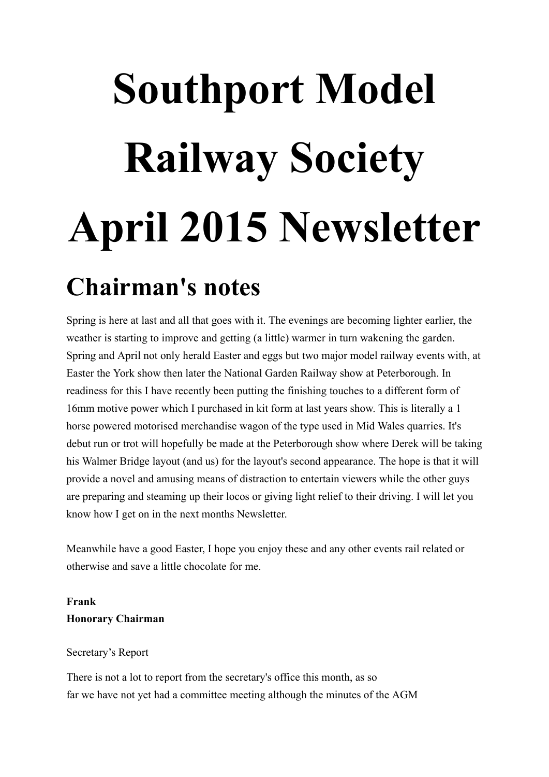# **Southport Model Railway Society April 2015 Newsletter**

# **Chairman's notes**

Spring is here at last and all that goes with it. The evenings are becoming lighter earlier, the weather is starting to improve and getting (a little) warmer in turn wakening the garden. Spring and April not only herald Easter and eggs but two major model railway events with, at Easter the York show then later the National Garden Railway show at Peterborough. In readiness for this I have recently been putting the finishing touches to a different form of 16mm motive power which I purchased in kit form at last years show. This is literally a 1 horse powered motorised merchandise wagon of the type used in Mid Wales quarries. It's debut run or trot will hopefully be made at the Peterborough show where Derek will be taking his Walmer Bridge layout (and us) for the layout's second appearance. The hope is that it will provide a novel and amusing means of distraction to entertain viewers while the other guys are preparing and steaming up their locos or giving light relief to their driving. I will let you know how I get on in the next months Newsletter.

Meanwhile have a good Easter, I hope you enjoy these and any other events rail related or otherwise and save a little chocolate for me.

#### **Frank Honorary Chairman**

#### Secretary's Report

There is not a lot to report from the secretary's office this month, as so far we have not yet had a committee meeting although the minutes of the AGM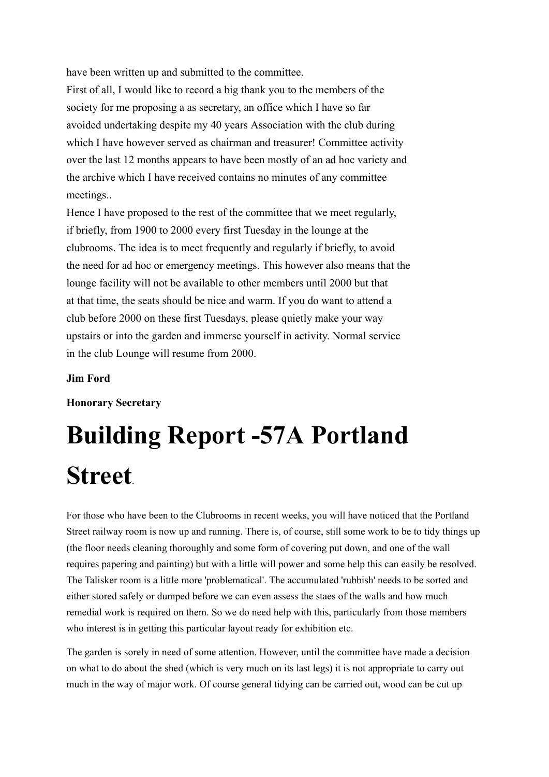have been written up and submitted to the committee.

First of all, I would like to record a big thank you to the members of the society for me proposing a as secretary, an office which I have so far avoided undertaking despite my 40 years Association with the club during which I have however served as chairman and treasurer! Committee activity over the last 12 months appears to have been mostly of an ad hoc variety and the archive which I have received contains no minutes of any committee meetings..

Hence I have proposed to the rest of the committee that we meet regularly, if briefly, from 1900 to 2000 every first Tuesday in the lounge at the clubrooms. The idea is to meet frequently and regularly if briefly, to avoid the need for ad hoc or emergency meetings. This however also means that the lounge facility will not be available to other members until 2000 but that at that time, the seats should be nice and warm. If you do want to attend a club before 2000 on these first Tuesdays, please quietly make your way upstairs or into the garden and immerse yourself in activity. Normal service in the club Lounge will resume from 2000.

#### **Jim Ford**

#### **Honorary Secretary**

# **Building Report -57A Portland Street**.

For those who have been to the Clubrooms in recent weeks, you will have noticed that the Portland Street railway room is now up and running. There is, of course, still some work to be to tidy things up (the floor needs cleaning thoroughly and some form of covering put down, and one of the wall requires papering and painting) but with a little will power and some help this can easily be resolved. The Talisker room is a little more 'problematical'. The accumulated 'rubbish' needs to be sorted and either stored safely or dumped before we can even assess the staes of the walls and how much remedial work is required on them. So we do need help with this, particularly from those members who interest is in getting this particular layout ready for exhibition etc.

The garden is sorely in need of some attention. However, until the committee have made a decision on what to do about the shed (which is very much on its last legs) it is not appropriate to carry out much in the way of major work. Of course general tidying can be carried out, wood can be cut up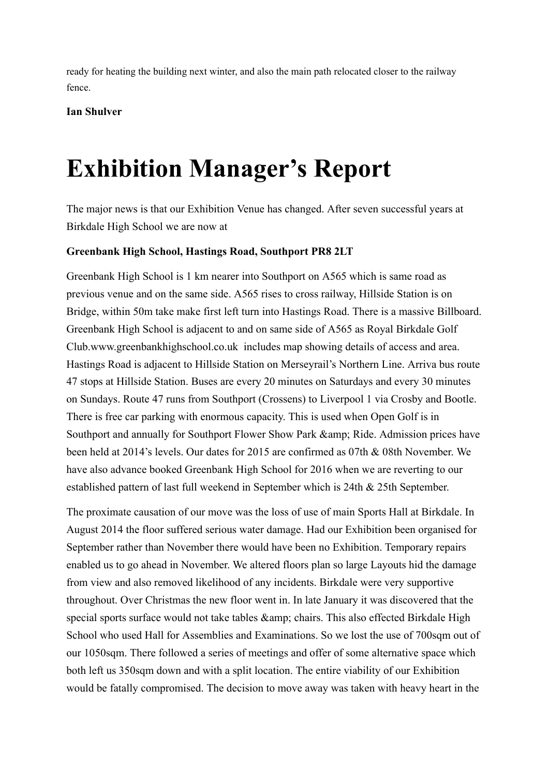ready for heating the building next winter, and also the main path relocated closer to the railway fence.

**Ian Shulver**

# **Exhibition Manager's Report**

The major news is that our Exhibition Venue has changed. After seven successful years at Birkdale High School we are now at

#### **Greenbank High School, Hastings Road, Southport PR8 2LT**

Greenbank High School is 1 km nearer into Southport on A565 which is same road as previous venue and on the same side. A565 rises to cross railway, Hillside Station is on Bridge, within 50m take make first left turn into Hastings Road. There is a massive Billboard. Greenbank High School is adjacent to and on same side of A565 as Royal Birkdale Golf Club.www.greenbankhighschool.co.uk includes map showing details of access and area. Hastings Road is adjacent to Hillside Station on Merseyrail's Northern Line. Arriva bus route 47 stops at Hillside Station. Buses are every 20 minutes on Saturdays and every 30 minutes on Sundays. Route 47 runs from Southport (Crossens) to Liverpool 1 via Crosby and Bootle. There is free car parking with enormous capacity. This is used when Open Golf is in Southport and annually for Southport Flower Show Park & amp; Ride. Admission prices have been held at 2014's levels. Our dates for 2015 are confirmed as 07th & 08th November. We have also advance booked Greenbank High School for 2016 when we are reverting to our established pattern of last full weekend in September which is 24th & 25th September.

The proximate causation of our move was the loss of use of main Sports Hall at Birkdale. In August 2014 the floor suffered serious water damage. Had our Exhibition been organised for September rather than November there would have been no Exhibition. Temporary repairs enabled us to go ahead in November. We altered floors plan so large Layouts hid the damage from view and also removed likelihood of any incidents. Birkdale were very supportive throughout. Over Christmas the new floor went in. In late January it was discovered that the special sports surface would not take tables & amp; chairs. This also effected Birkdale High School who used Hall for Assemblies and Examinations. So we lost the use of 700sqm out of our 1050sqm. There followed a series of meetings and offer of some alternative space which both left us 350sqm down and with a split location. The entire viability of our Exhibition would be fatally compromised. The decision to move away was taken with heavy heart in the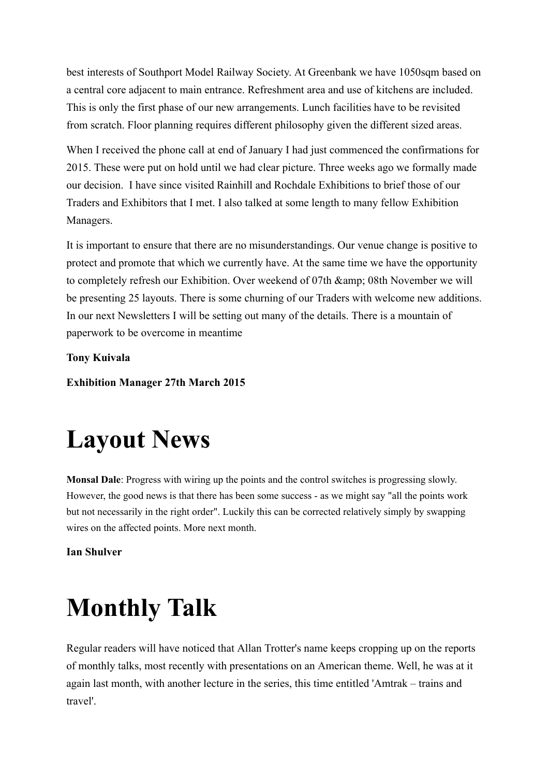best interests of Southport Model Railway Society. At Greenbank we have 1050sqm based on a central core adjacent to main entrance. Refreshment area and use of kitchens are included. This is only the first phase of our new arrangements. Lunch facilities have to be revisited from scratch. Floor planning requires different philosophy given the different sized areas.

When I received the phone call at end of January I had just commenced the confirmations for 2015. These were put on hold until we had clear picture. Three weeks ago we formally made our decision. I have since visited Rainhill and Rochdale Exhibitions to brief those of our Traders and Exhibitors that I met. I also talked at some length to many fellow Exhibition Managers.

It is important to ensure that there are no misunderstandings. Our venue change is positive to protect and promote that which we currently have. At the same time we have the opportunity to completely refresh our Exhibition. Over weekend of 07th & amp; 08th November we will be presenting 25 layouts. There is some churning of our Traders with welcome new additions. In our next Newsletters I will be setting out many of the details. There is a mountain of paperwork to be overcome in meantime

**Tony Kuivala**

**Exhibition Manager 27th March 2015**

# **Layout News**

**Monsal Dale**: Progress with wiring up the points and the control switches is progressing slowly. However, the good news is that there has been some success - as we might say "all the points work but not necessarily in the right order". Luckily this can be corrected relatively simply by swapping wires on the affected points. More next month.

**Ian Shulver**

# **Monthly Talk**

Regular readers will have noticed that Allan Trotter's name keeps cropping up on the reports of monthly talks, most recently with presentations on an American theme. Well, he was at it again last month, with another lecture in the series, this time entitled 'Amtrak – trains and travel'.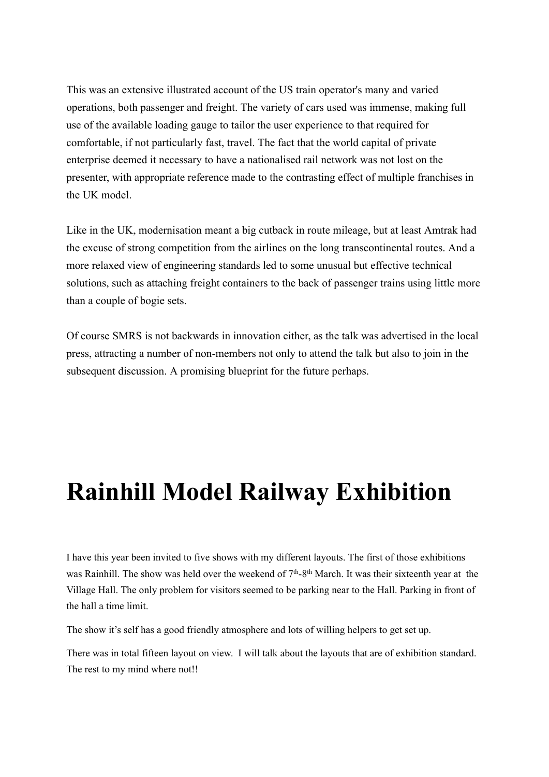This was an extensive illustrated account of the US train operator's many and varied operations, both passenger and freight. The variety of cars used was immense, making full use of the available loading gauge to tailor the user experience to that required for comfortable, if not particularly fast, travel. The fact that the world capital of private enterprise deemed it necessary to have a nationalised rail network was not lost on the presenter, with appropriate reference made to the contrasting effect of multiple franchises in the UK model.

Like in the UK, modernisation meant a big cutback in route mileage, but at least Amtrak had the excuse of strong competition from the airlines on the long transcontinental routes. And a more relaxed view of engineering standards led to some unusual but effective technical solutions, such as attaching freight containers to the back of passenger trains using little more than a couple of bogie sets.

Of course SMRS is not backwards in innovation either, as the talk was advertised in the local press, attracting a number of non-members not only to attend the talk but also to join in the subsequent discussion. A promising blueprint for the future perhaps.

# **Rainhill Model Railway Exhibition**

I have this year been invited to five shows with my different layouts. The first of those exhibitions was Rainhill. The show was held over the weekend of 7<sup>th</sup>-8<sup>th</sup> March. It was their sixteenth year at the Village Hall. The only problem for visitors seemed to be parking near to the Hall. Parking in front of the hall a time limit.

The show it's self has a good friendly atmosphere and lots of willing helpers to get set up.

There was in total fifteen layout on view. I will talk about the layouts that are of exhibition standard. The rest to my mind where not!!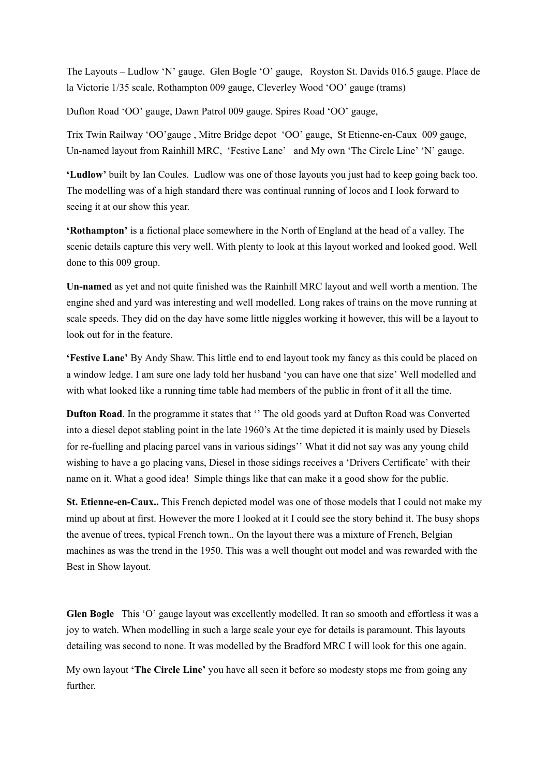The Layouts – Ludlow 'N' gauge. Glen Bogle 'O' gauge, Royston St. Davids 016.5 gauge. Place de la Victorie 1/35 scale, Rothampton 009 gauge, Cleverley Wood 'OO' gauge (trams)

Dufton Road 'OO' gauge, Dawn Patrol 009 gauge. Spires Road 'OO' gauge,

Trix Twin Railway 'OO'gauge , Mitre Bridge depot 'OO' gauge, St Etienne-en-Caux 009 gauge, Un-named layout from Rainhill MRC, 'Festive Lane' and My own 'The Circle Line' 'N' gauge.

**'Ludlow'** built by Ian Coules. Ludlow was one of those layouts you just had to keep going back too. The modelling was of a high standard there was continual running of locos and I look forward to seeing it at our show this year.

**'Rothampton'** is a fictional place somewhere in the North of England at the head of a valley. The scenic details capture this very well. With plenty to look at this layout worked and looked good. Well done to this 009 group.

**Un-named** as yet and not quite finished was the Rainhill MRC layout and well worth a mention. The engine shed and yard was interesting and well modelled. Long rakes of trains on the move running at scale speeds. They did on the day have some little niggles working it however, this will be a layout to look out for in the feature.

**'Festive Lane'** By Andy Shaw. This little end to end layout took my fancy as this could be placed on a window ledge. I am sure one lady told her husband 'you can have one that size' Well modelled and with what looked like a running time table had members of the public in front of it all the time.

**Dufton Road**. In the programme it states that '' The old goods yard at Dufton Road was Converted into a diesel depot stabling point in the late 1960's At the time depicted it is mainly used by Diesels for re-fuelling and placing parcel vans in various sidings'' What it did not say was any young child wishing to have a go placing vans, Diesel in those sidings receives a 'Drivers Certificate' with their name on it. What a good idea! Simple things like that can make it a good show for the public.

**St. Etienne-en-Caux..** This French depicted model was one of those models that I could not make my mind up about at first. However the more I looked at it I could see the story behind it. The busy shops the avenue of trees, typical French town.. On the layout there was a mixture of French, Belgian machines as was the trend in the 1950. This was a well thought out model and was rewarded with the Best in Show layout.

**Glen Bogle** This 'O' gauge layout was excellently modelled. It ran so smooth and effortless it was a joy to watch. When modelling in such a large scale your eye for details is paramount. This layouts detailing was second to none. It was modelled by the Bradford MRC I will look for this one again.

My own layout **'The Circle Line'** you have all seen it before so modesty stops me from going any further.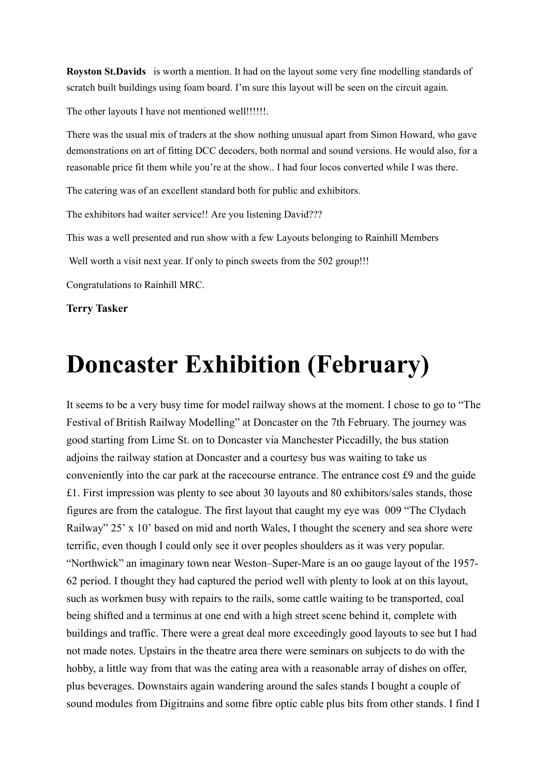**Royston St.Davids** is worth a mention. It had on the layout some very fine modelling standards of scratch built buildings using foam board. I'm sure this layout will be seen on the circuit again.

The other layouts I have not mentioned well!!!!!!!.

There was the usual mix of traders at the show nothing unusual apart from Simon Howard, who gave demonstrations on art of fitting DCC decoders, both normal and sound versions. He would also, for a reasonable price fit them while you're at the show.. I had four locos converted while I was there.

The catering was of an excellent standard both for public and exhibitors.

The exhibitors had waiter service!! Are you listening David???

This was a well presented and run show with a few Layouts belonging to Rainhill Members

Well worth a visit next year. If only to pinch sweets from the 502 group!!!

Congratulations to Rainhill MRC.

**Terry Tasker**

### **Doncaster Exhibition (February)**

It seems to be a very busy time for model railway shows at the moment. I chose to go to "The Festival of British Railway Modelling" at Doncaster on the 7th February. The journey was good starting from Lime St. on to Doncaster via Manchester Piccadilly, the bus station adjoins the railway station at Doncaster and a courtesy bus was waiting to take us conveniently into the car park at the racecourse entrance. The entrance cost £9 and the guide £1. First impression was plenty to see about 30 layouts and 80 exhibitors/sales stands, those figures are from the catalogue. The first layout that caught my eye was 009 "The Clydach Railway" 25' x 10' based on mid and north Wales, I thought the scenery and sea shore were terrific, even though I could only see it over peoples shoulders as it was very popular. "Northwick" an imaginary town near Weston–Super-Mare is an oo gauge layout of the 1957- 62 period. I thought they had captured the period well with plenty to look at on this layout, such as workmen busy with repairs to the rails, some cattle waiting to be transported, coal being shifted and a terminus at one end with a high street scene behind it, complete with buildings and traffic. There were a great deal more exceedingly good layouts to see but I had not made notes. Upstairs in the theatre area there were seminars on subjects to do with the hobby, a little way from that was the eating area with a reasonable array of dishes on offer, plus beverages. Downstairs again wandering around the sales stands I bought a couple of sound modules from Digitrains and some fibre optic cable plus bits from other stands. I find I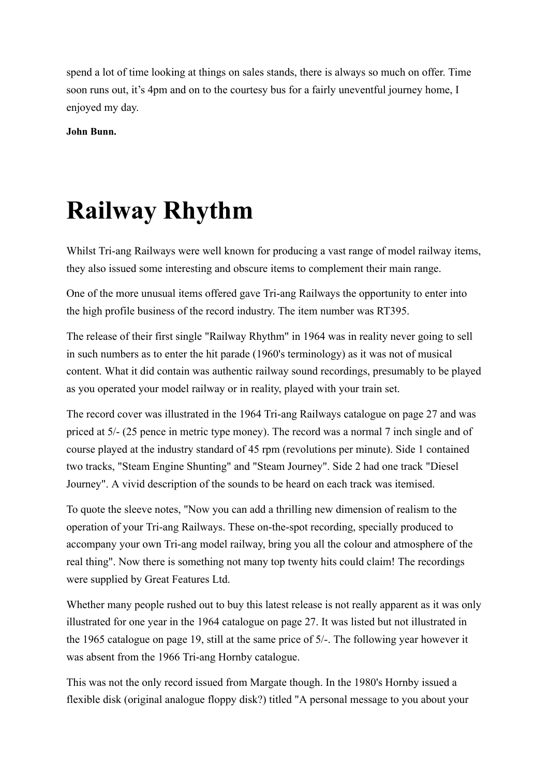spend a lot of time looking at things on sales stands, there is always so much on offer. Time soon runs out, it's 4pm and on to the courtesy bus for a fairly uneventful journey home, I enjoyed my day.

**John Bunn.**

# **Railway Rhythm**

Whilst Tri-ang Railways were well known for producing a vast range of model railway items, they also issued some interesting and obscure items to complement their main range.

One of the more unusual items offered gave Tri-ang Railways the opportunity to enter into the high profile business of the record industry. The item number was RT395.

The release of their first single "Railway Rhythm" in 1964 was in reality never going to sell in such numbers as to enter the hit parade (1960's terminology) as it was not of musical content. What it did contain was authentic railway sound recordings, presumably to be played as you operated your model railway or in reality, played with your train set.

The record cover was illustrated in the 1964 Tri-ang Railways catalogue on page 27 and was priced at 5/- (25 pence in metric type money). The record was a normal 7 inch single and of course played at the industry standard of 45 rpm (revolutions per minute). Side 1 contained two tracks, "Steam Engine Shunting" and "Steam Journey". Side 2 had one track "Diesel Journey". A vivid description of the sounds to be heard on each track was itemised.

To quote the sleeve notes, "Now you can add a thrilling new dimension of realism to the operation of your Tri-ang Railways. These on-the-spot recording, specially produced to accompany your own Tri-ang model railway, bring you all the colour and atmosphere of the real thing". Now there is something not many top twenty hits could claim! The recordings were supplied by Great Features Ltd.

Whether many people rushed out to buy this latest release is not really apparent as it was only illustrated for one year in the 1964 catalogue on page 27. It was listed but not illustrated in the 1965 catalogue on page 19, still at the same price of 5/-. The following year however it was absent from the 1966 Tri-ang Hornby catalogue.

This was not the only record issued from Margate though. In the 1980's Hornby issued a flexible disk (original analogue floppy disk?) titled "A personal message to you about your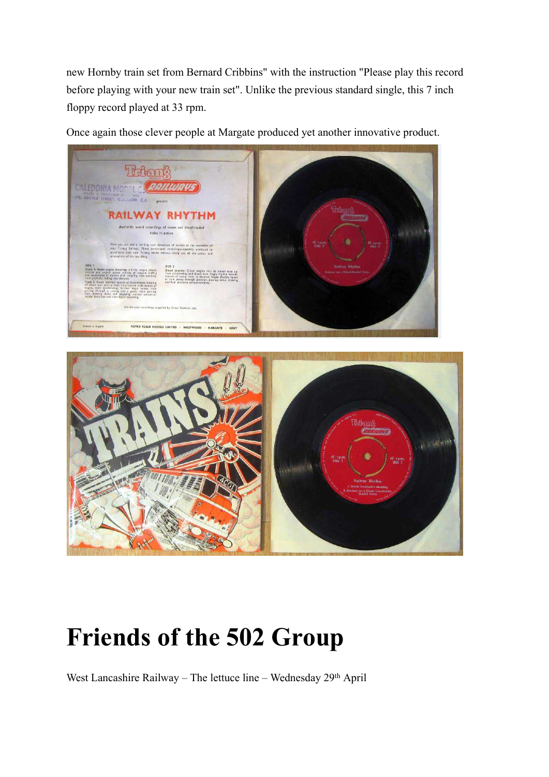new Hornby train set from Bernard Cribbins" with the instruction "Please play this record before playing with your new train set". Unlike the previous standard single, this 7 inch floppy record played at 33 rpm.

Once again those clever people at Margate produced yet another innovative product.





# **Friends of the 502 Group**

West Lancashire Railway - The lettuce line - Wednesday 29th April